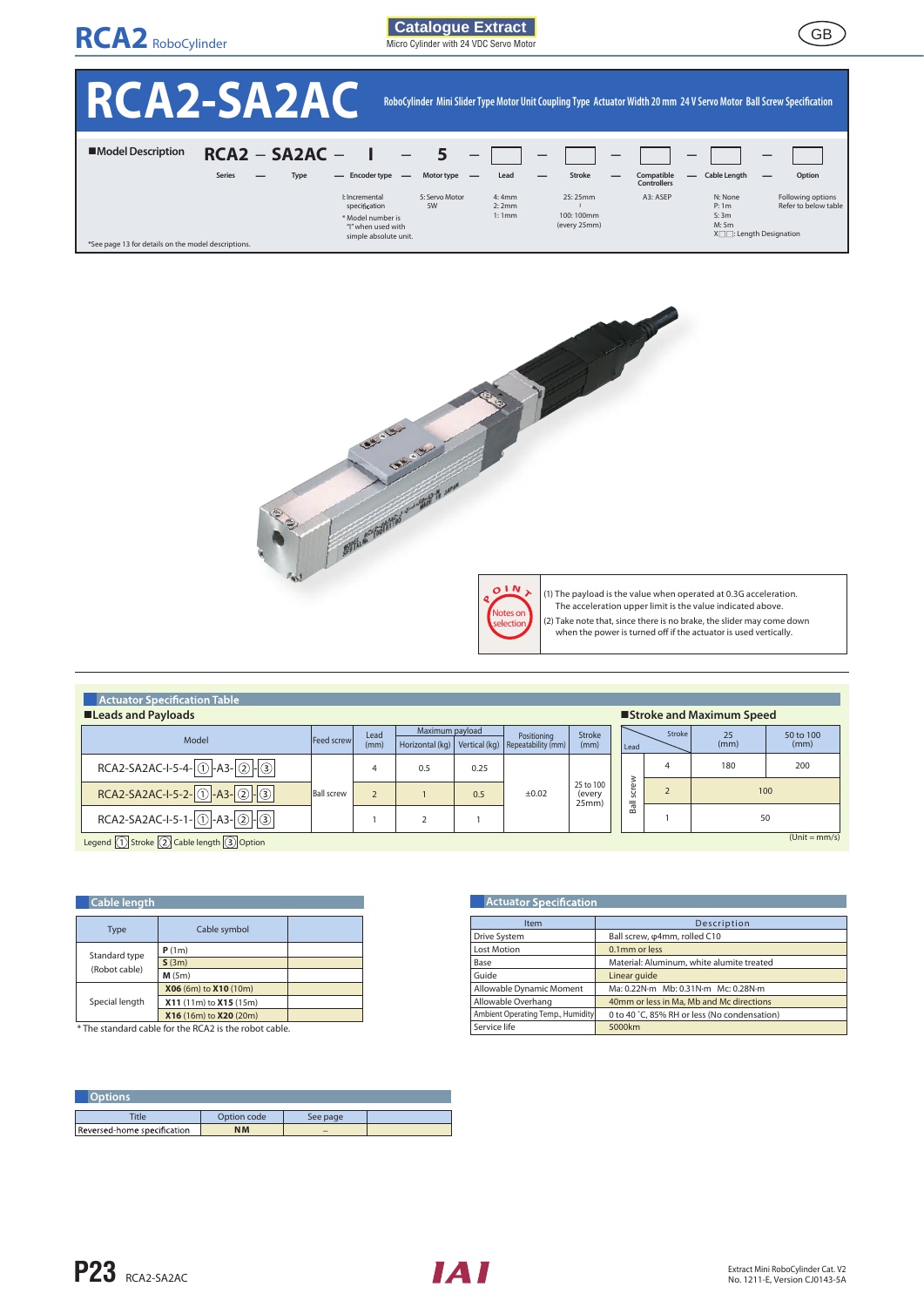

GB **Catalogue Extract**  Micro Cylinder with 24 VDC Servo Motor







(1) The payload is the value when operated at 0.3G acceleration.

- 
- (2) Take note that, since there is no brake, the slider may come down<br>when the power is turned off if the actuator is used vertically.

| <b>Actuator Specification Table</b>                           |                    |              |                 |      |                                                                     |                             |                  |                 |            |                   |
|---------------------------------------------------------------|--------------------|--------------|-----------------|------|---------------------------------------------------------------------|-----------------------------|------------------|-----------------|------------|-------------------|
| ■Leads and Payloads<br><b>Stroke and Maximum Speed</b>        |                    |              |                 |      |                                                                     |                             |                  |                 |            |                   |
| Model                                                         | <b>Feed screwl</b> | Lead<br>(mm) | Maximum payload |      | Positioning<br>Horizontal (kg)   Vertical (kg)   Repeatability (mm) | Stroke<br>(mm)              | Lead             | <b>Stroke</b>   | 25<br>(mm) | 50 to 100<br>(mm) |
| RCA2-SA2AC-I-5-4- $\boxed{()}$ -A3- $\boxed{2}$ - $\boxed{3}$ |                    |              | 0.5             | 0.25 |                                                                     |                             |                  | 4               | 180        | 200               |
| RCA2-SA2AC-I-5-2-0-A3-0-3                                     | <b>Ball screw</b>  |              |                 | 0.5  | $\pm 0.02$                                                          | 25 to 100<br>(every<br>25mm | crew<br><b>i</b> |                 | 100        |                   |
| RCA2-SA2AC-I-5-1-0-A3-0-3                                     |                    |              |                 |      |                                                                     |                             | Ball             |                 |            | 50                |
| <b>CONTRACTOR</b>                                             |                    |              |                 |      |                                                                     |                             |                  | $(Unit = mm/s)$ |            |                   |

Legend  $\Box$  Stroke  $\Box$  Cable length  $\Box$  Option

| <b>Cable length</b> |                        |  |
|---------------------|------------------------|--|
| <b>Type</b>         | Cable symbol           |  |
| Standard type       | P(1m)                  |  |
|                     | S(3m)                  |  |
| (Robot cable)       | M(5m)                  |  |
|                     | X06 (6m) to X10 (10m)  |  |
| Special length      | X11 (11m) to X15 (15m) |  |
|                     | X16 (16m) to X20 (20m) |  |

\* The standard cable for the RCA2 is the robot cable.

| )ptions                     |             |          |  |
|-----------------------------|-------------|----------|--|
| 'itle                       | Option code | See page |  |
| Reversed-home specification | <b>NM</b>   | -        |  |

| <b>Actuator Specification</b>     |                                              |  |  |  |  |  |
|-----------------------------------|----------------------------------------------|--|--|--|--|--|
| Item                              | Description                                  |  |  |  |  |  |
| Drive System                      | Ball screw, $\varphi$ 4mm, rolled C10        |  |  |  |  |  |
| Lost Motion                       | 0.1mm or less                                |  |  |  |  |  |
| Base                              | Material: Aluminum, white alumite treated    |  |  |  |  |  |
| Guide                             | Linear quide                                 |  |  |  |  |  |
| Allowable Dynamic Moment          | Ma: 0.22N·m Mb: 0.31N·m Mc: 0.28N·m          |  |  |  |  |  |
| Allowable Overhang                | 40mm or less in Ma, Mb and Mc directions     |  |  |  |  |  |
| Ambient Operating Temp., Humidity | 0 to 40 °C, 85% RH or less (No condensation) |  |  |  |  |  |
| Service life                      | 5000km                                       |  |  |  |  |  |

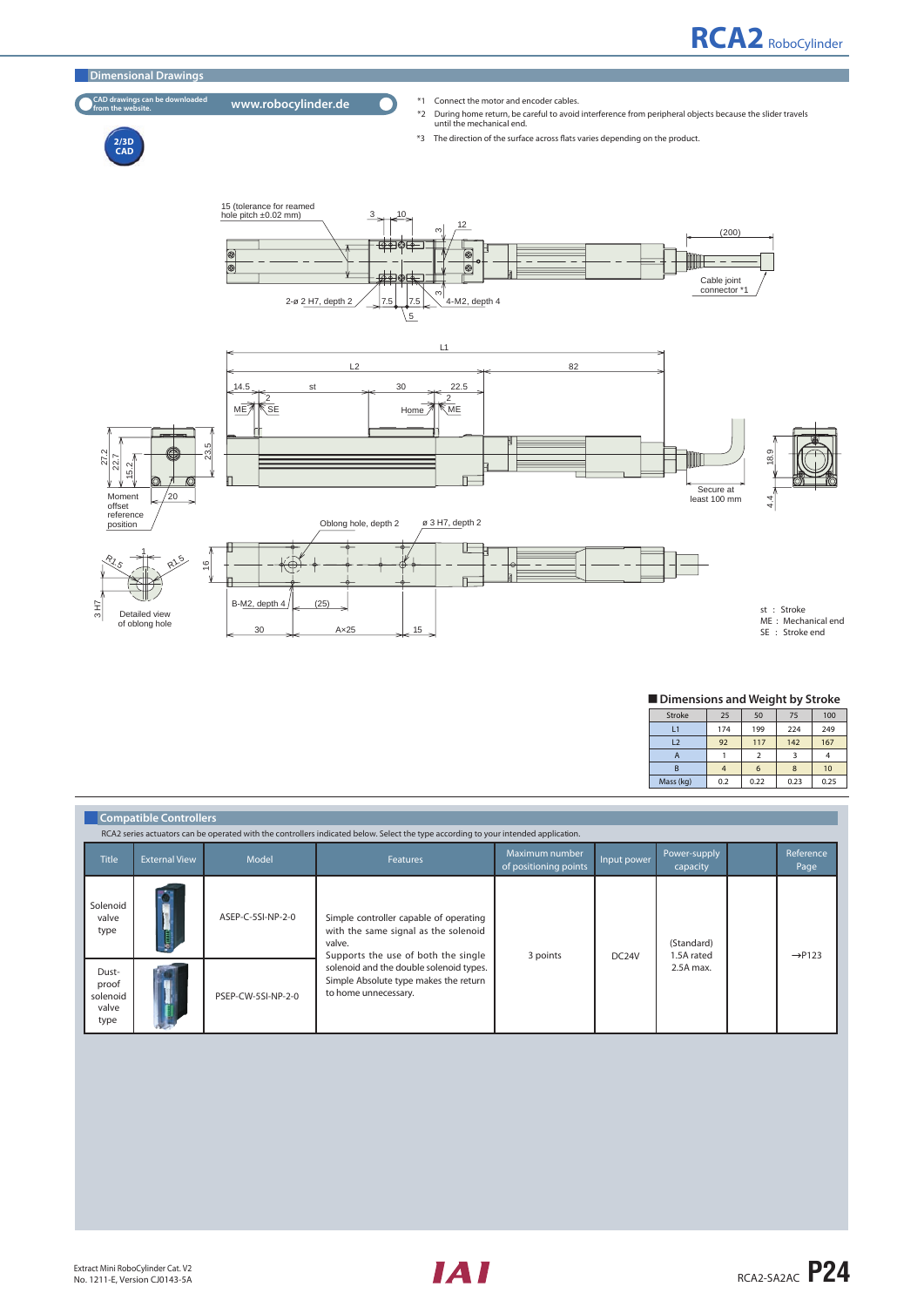

■ Dimensions and Weight by Stroke

| Stroke         | 25  | 50   | 75   | 100  |
|----------------|-----|------|------|------|
| L1             | 174 | 199  | 224  | 249  |
| L <sub>2</sub> | 92  | 117  | 142  | 167  |
| А              |     |      |      |      |
| R              |     | 6    | 8    | 10   |
| Mass (kg)      | 0.2 | 0.22 | 0.23 | 0.25 |

|                                             | <b>Compatible Controllers</b><br>RCA2 series actuators can be operated with the controllers indicated below. Select the type according to your intended application. |                    |                                                                                                                                 |                                         |             |                          |  |                    |  |  |
|---------------------------------------------|----------------------------------------------------------------------------------------------------------------------------------------------------------------------|--------------------|---------------------------------------------------------------------------------------------------------------------------------|-----------------------------------------|-------------|--------------------------|--|--------------------|--|--|
| <b>Title</b>                                | <b>External View</b>                                                                                                                                                 | Model              | <b>Features</b>                                                                                                                 | Maximum number<br>of positioning points | Input power | Power-supply<br>capacity |  | Reference<br>Page  |  |  |
| Solenoid<br>valve<br>type                   |                                                                                                                                                                      | ASEP-C-5SI-NP-2-0  | Simple controller capable of operating<br>with the same signal as the solenoid<br>valve.<br>Supports the use of both the single | 3 points                                | DC24V       | (Standard)<br>1.5A rated |  | $\rightarrow$ P123 |  |  |
| Dust-<br>proof<br>solenoid<br>valve<br>type |                                                                                                                                                                      | PSEP-CW-5SI-NP-2-0 | solenoid and the double solenoid types.<br>Simple Absolute type makes the return<br>to home unnecessary.                        |                                         |             | 2.5A max.                |  |                    |  |  |

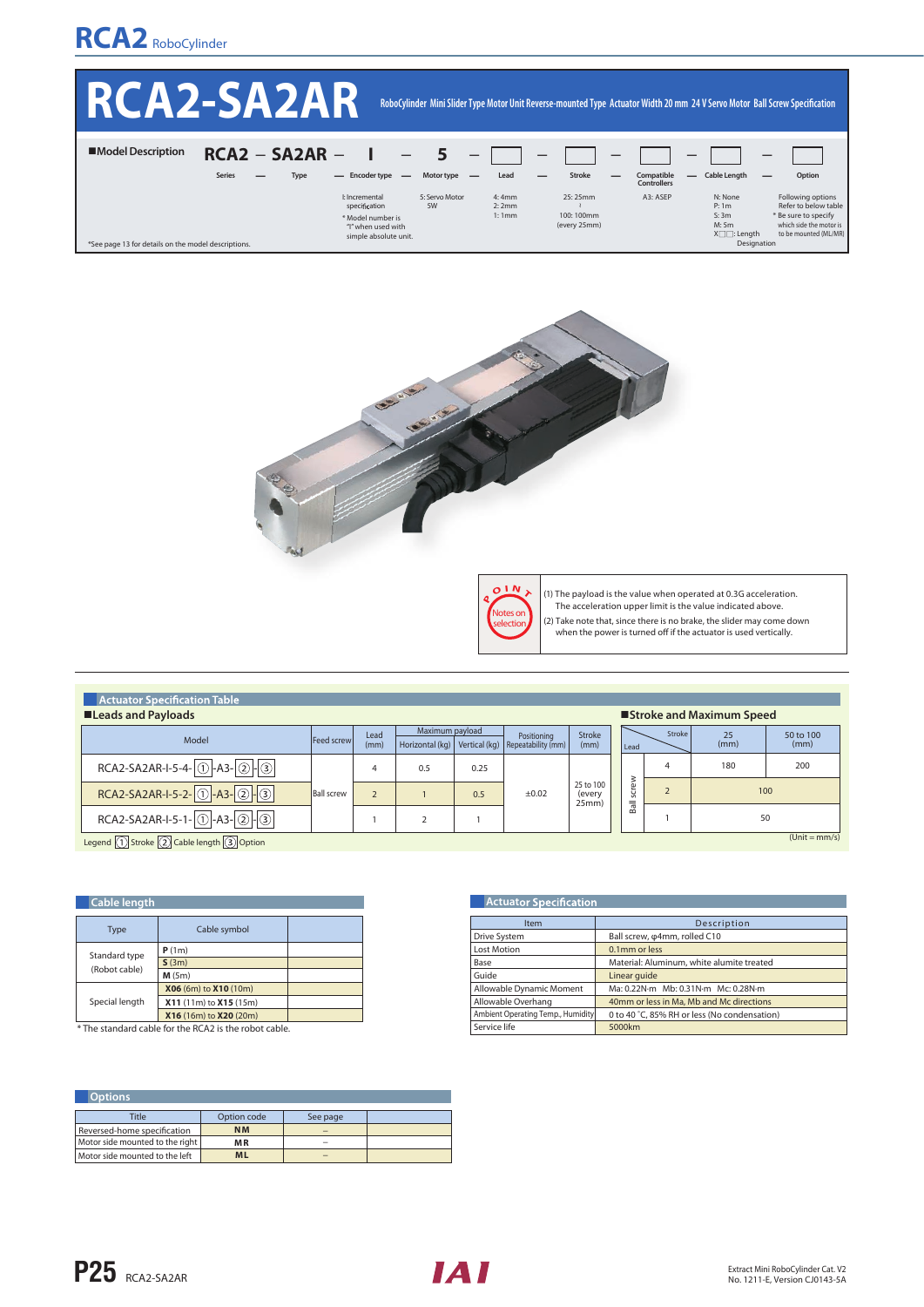

|                                                     | RCA2-SA2AR                                |                                                                                                     |                      |                         |                                      |                                  | RoboCylinder Mini Slider Type Motor Unit Reverse-mounted Type Actuator Width 20 mm 24 V Servo Motor Ball Screw Specification |                                                                                                                       |
|-----------------------------------------------------|-------------------------------------------|-----------------------------------------------------------------------------------------------------|----------------------|-------------------------|--------------------------------------|----------------------------------|------------------------------------------------------------------------------------------------------------------------------|-----------------------------------------------------------------------------------------------------------------------|
| ■Model Description                                  | $RCA2 - SA2AR -$<br><b>Series</b><br>Type | - Encoder type<br>$\overline{\phantom{0}}$                                                          | Motor type           | Lead                    | Stroke                               | Compatible<br><b>Controllers</b> | <b>Cable Length</b><br>—                                                                                                     | Option                                                                                                                |
| *See page 13 for details on the model descriptions. |                                           | I: Incremental<br>specification<br>* Model number is<br>"I" when used with<br>simple absolute unit. | 5: Servo Motor<br>5W | 4:4mm<br>2:2mm<br>1:1mm | 25:25mm<br>100:100mm<br>(every 25mm) | A3: ASEP                         | N: None<br>P: 1m<br>S:3m<br>M:5m<br>$X \square \square$ : Length<br>Designation                                              | Following options<br>Refer to below table<br>* Be sure to specify<br>which side the motor is<br>to be mounted (ML/MR) |





**Actuator Specification** 

(1) The payload is the value when operated at 0.3G acceleration. The acceleration upper limit is the value indicated above.

- 
- (2) Take note that, since there is no brake, the slider may come down<br>when the power is turned off if the actuator is used vertically.
- 

| <b>EXECUTE ACTUATOR SPECIFICATION TABLE</b>                         |                    |              |                 |      |                                                                     |                              |          |          |            |                   |
|---------------------------------------------------------------------|--------------------|--------------|-----------------|------|---------------------------------------------------------------------|------------------------------|----------|----------|------------|-------------------|
| <b>■Leads and Payloads</b><br>■Stroke and Maximum Speed             |                    |              |                 |      |                                                                     |                              |          |          |            |                   |
| Model                                                               | <b>Feed screwl</b> | Lead<br>(mm) | Maximum payload |      | Positioning<br>Horizontal (kg)   Vertical (kg)   Repeatability (mm) | Stroke<br>(mm)               | Lead     | Stroke   | 25<br>(mm) | 50 to 100<br>(mm) |
| $RCA2-SA2AR-I-5-4-0$ -A3-2-3                                        |                    |              | 0.5             | 0.25 |                                                                     |                              |          | 4        | 180        | 200               |
| RCA2-SA2AR-I-5-2-0-A3-0-9                                           | <b>Ball screw</b>  |              |                 | 0.5  | $\pm 0.02$                                                          | 25 to 100<br>(every<br>25mm) | rew<br>š | $\prime$ | 100        |                   |
| RCA2-SA2AR-I-5-1-0-A3-0-3                                           |                    |              |                 |      |                                                                     |                              | Ball     |          | 50         |                   |
| $(Unit = mm/s)$<br><b>COMPAGNIE ACTIVITY AND ARRIVED AT ALCOHOL</b> |                    |              |                 |      |                                                                     |                              |          |          |            |                   |

Legend  $\boxed{1}$  Stroke  $\boxed{2}$  Cable length  $\boxed{3}$  Option

| <b>Cable length</b> |                        |  |
|---------------------|------------------------|--|
| <b>Type</b>         | Cable symbol           |  |
| Standard type       | P(1m)                  |  |
|                     | S(3m)                  |  |
| (Robot cable)       | M(5m)                  |  |
|                     | X06 (6m) to X10 (10m)  |  |
| Special length      | X11 (11m) to X15 (15m) |  |
|                     | X16 (16m) to X20 (20m) |  |

\* The standard cable for the RCA2 is the robot cable.

| <b>Item</b>                       | Description                                  |
|-----------------------------------|----------------------------------------------|
| Drive System                      | Ball screw, $\varphi$ 4mm, rolled C10        |
| <b>Lost Motion</b>                | 0.1mm or less                                |
| Base                              | Material: Aluminum, white alumite treated    |
| Guide                             | Linear quide                                 |
| Allowable Dynamic Moment          | Ma: 0.22N·m Mb: 0.31N·m Mc: 0.28N·m          |
| Allowable Overhang                | 40mm or less in Ma, Mb and Mc directions     |
| Ambient Operating Temp., Humidity | 0 to 40 °C, 85% RH or less (No condensation) |
| Service life                      | 5000km                                       |
|                                   |                                              |

| Options.                        |             |          |  |  |  |  |  |  |
|---------------------------------|-------------|----------|--|--|--|--|--|--|
| Title                           | Option code | See page |  |  |  |  |  |  |
| Reversed-home specification     | <b>NM</b>   |          |  |  |  |  |  |  |
| Motor side mounted to the right | <b>MR</b>   |          |  |  |  |  |  |  |
| Motor side mounted to the left  | <b>ML</b>   |          |  |  |  |  |  |  |

**P25 RCA2-SA2AR** 

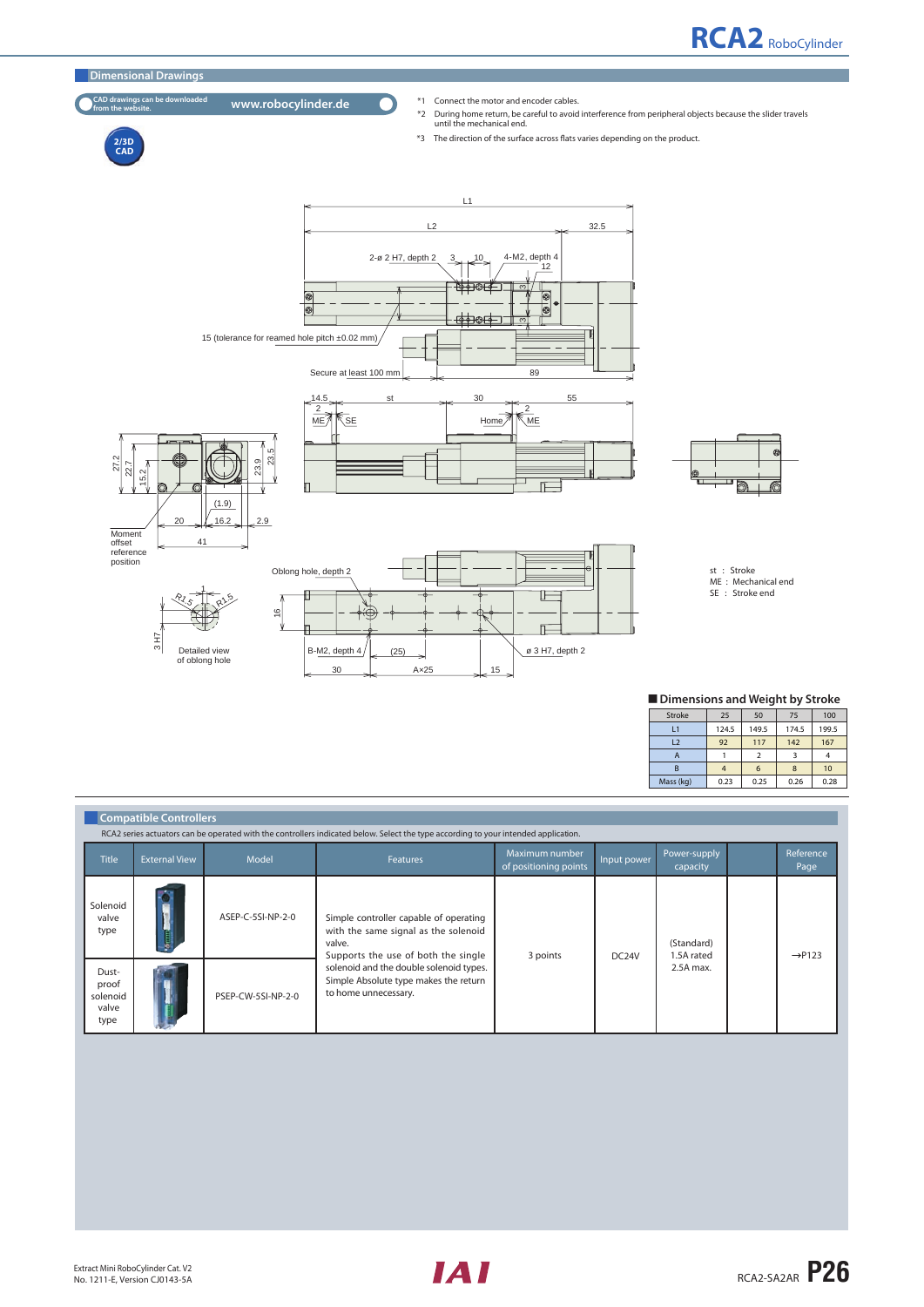



**2/3D CAD** 

### CAD dr

- 
- CAD drawings can be downloaded **www.robocylinder.de** <sup>\*1</sup> Connect the motor and encoder cables.<br><sup>\*2</sup> During home return, be careful to avoid interference from peripheral objects because the slider travels<br>until the mechani
	- \*3 The direction of the surface across flats varies depending on the product.



| Dimensions and Weight by Stroke |  |  |  |
|---------------------------------|--|--|--|
|---------------------------------|--|--|--|

| Stroke         | 25    | 50    | 75    | 100   |
|----------------|-------|-------|-------|-------|
| L <sub>1</sub> | 124.5 | 149.5 | 174.5 | 199.5 |
| L2             | 92    | 117   | 142   | 167   |
| А              |       |       |       |       |
| B              | 4     | 6     | 8     | 10    |
| Mass (kg)      | 0.23  | 0.25  | 0.26  | 0.28  |

|                                             | <b>Compatible Controllers</b><br>RCA2 series actuators can be operated with the controllers indicated below. Select the type according to your intended application. |                    |                                                                                                                                 |                                         |                    |                          |  |                          |  |  |
|---------------------------------------------|----------------------------------------------------------------------------------------------------------------------------------------------------------------------|--------------------|---------------------------------------------------------------------------------------------------------------------------------|-----------------------------------------|--------------------|--------------------------|--|--------------------------|--|--|
| <b>Title</b>                                | <b>External View</b>                                                                                                                                                 | Model              | <b>Features</b>                                                                                                                 | Maximum number<br>of positioning points | Input power        | Power-supply<br>capacity |  | <b>Reference</b><br>Page |  |  |
| Solenoid<br>valve<br>type                   |                                                                                                                                                                      | ASEP-C-5SI-NP-2-0  | Simple controller capable of operating<br>with the same signal as the solenoid<br>valve.<br>Supports the use of both the single | 3 points                                | DC <sub>24</sub> V | (Standard)<br>1.5A rated |  | $\rightarrow$ P123       |  |  |
| Dust-<br>proof<br>solenoid<br>valve<br>type |                                                                                                                                                                      | PSEP-CW-5SI-NP-2-0 | solenoid and the double solenoid types.<br>Simple Absolute type makes the return<br>to home unnecessary.                        |                                         |                    | 2.5A max.                |  |                          |  |  |

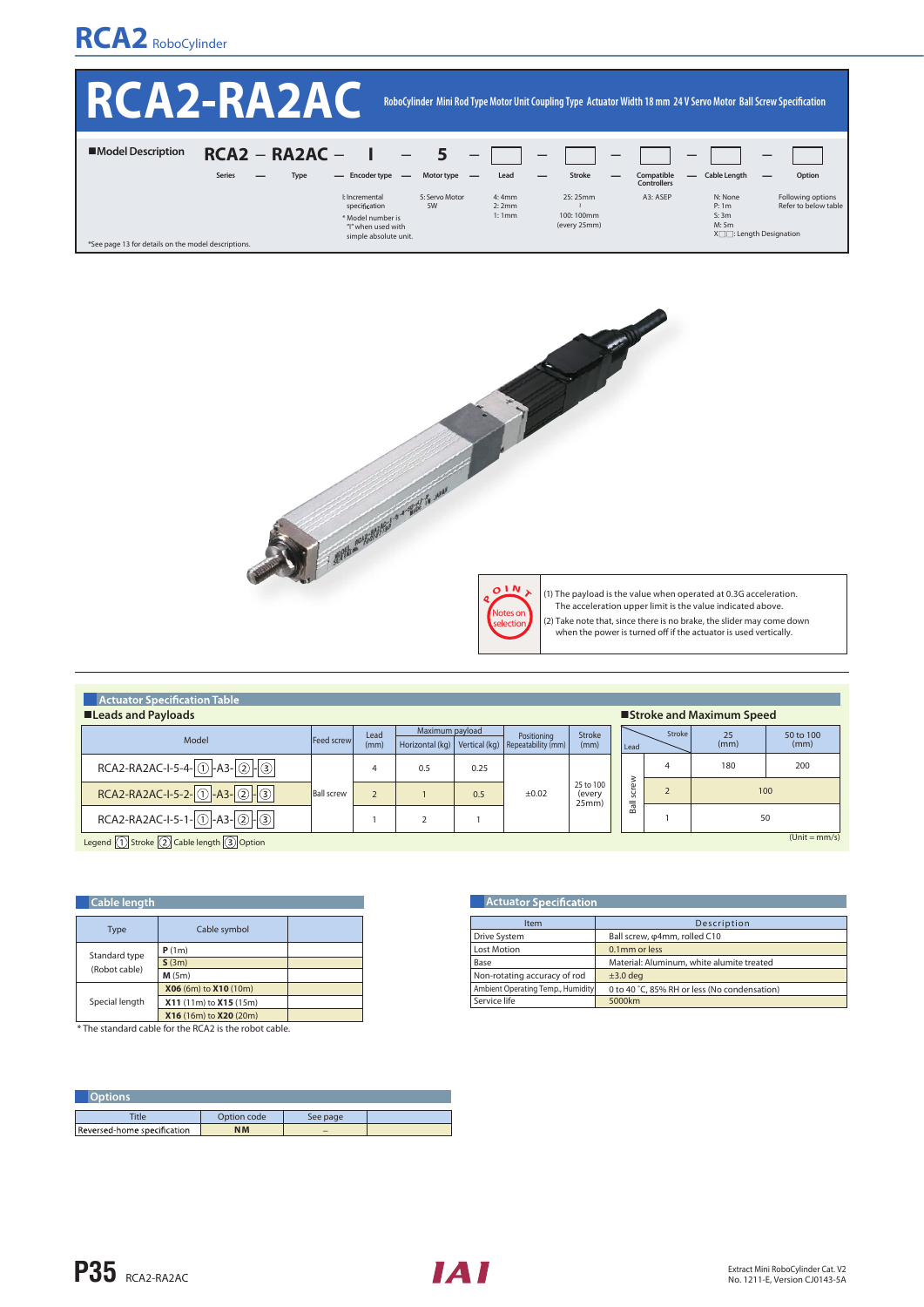## **RCA2** RoboCylinder

|                                                     | <b>IKCAZERAZA</b> N                       |                                                                                                                             |                         |                                      |                                       | RoboCylinder Mini Rod Type Motor Unit Coupling Type Actuator Width 18 mm 24 V Servo Motor Ball Screw Specification |
|-----------------------------------------------------|-------------------------------------------|-----------------------------------------------------------------------------------------------------------------------------|-------------------------|--------------------------------------|---------------------------------------|--------------------------------------------------------------------------------------------------------------------|
| ■Model Description                                  | $RCA2 - RA2AC -$<br><b>Series</b><br>Type | $\overline{\phantom{m}}$<br>Motor type<br>- Encoder type -                                                                  | $ -$<br>Lead            | Stroke                               | Compatible<br>—<br><b>Controllers</b> | <b>Cable Length</b><br>Option                                                                                      |
| *See page 13 for details on the model descriptions. |                                           | I: Incremental<br>5: Servo Motor<br>specification<br>5W<br>* Model number is<br>"I" when used with<br>simple absolute unit. | 4:4mm<br>2:2mm<br>1:1mm | 25:25mm<br>100:100mm<br>(every 25mm) | A3: ASEP                              | Following options<br>N: None<br>Refer to below table<br>P: 1m<br>S:3m<br>M: 5m<br>$X \square$ : Length Designation |



| <b>Actuator Specification Table</b>                 |                   |              |                 |      |                                                                     |                              |       |        |                           |                   |
|-----------------------------------------------------|-------------------|--------------|-----------------|------|---------------------------------------------------------------------|------------------------------|-------|--------|---------------------------|-------------------|
| ■Leads and Payloads                                 |                   |              |                 |      |                                                                     |                              |       |        | ■Stroke and Maximum Speed |                   |
| Model                                               | Feed screwl       | Lead<br>(mm) | Maximum payload |      | Positioning<br>Horizontal (kg)   Vertical (kg)   Repeatability (mm) | Stroke<br>(mm)               | Lead  | Stroke | 25<br>(mm)                | 50 to 100<br>(mm) |
| $RCA2-RA2AC-I-5-4-0$ -A3-2-3                        |                   |              | 0.5             | 0.25 |                                                                     |                              |       | 4      | 180                       | 200               |
| RCA2-RA2AC-I-5-2-0-A3-2-3                           | <b>Ball screw</b> |              |                 | 0.5  | ±0.02                                                               | 25 to 100<br>(every<br>25mm) | screw |        |                           | 100               |
| $RCA2-RA2AC-I-5-1-0$ -A3- $\boxed{2}$ - $\boxed{3}$ |                   |              |                 |      |                                                                     |                              | Bal   |        |                           | 50                |
| <b>COMPOUNDED</b>                                   |                   |              |                 |      |                                                                     |                              |       |        |                           | $(Unit = mm/s)$   |

Legend  $\boxed{1}$  Stroke  $\boxed{2}$  Cable length  $\boxed{3}$  Option

| <b>Cable length</b> |                        |  |  |  |  |  |  |
|---------------------|------------------------|--|--|--|--|--|--|
| <b>Type</b>         | Cable symbol           |  |  |  |  |  |  |
| Standard type       | P(1m)                  |  |  |  |  |  |  |
|                     | S(3m)                  |  |  |  |  |  |  |
| (Robot cable)       | M(5m)                  |  |  |  |  |  |  |
|                     | X06 (6m) to X10 (10m)  |  |  |  |  |  |  |
| Special length      | X11 (11m) to X15 (15m) |  |  |  |  |  |  |
|                     | X16 (16m) to X20 (20m) |  |  |  |  |  |  |

\* The standard cable for the RCA2 is the robot cable.

| <b>Dotions</b>              |             |          |  |
|-----------------------------|-------------|----------|--|
| <b>Title</b>                | Option code | See page |  |
| Reversed-home specification | <b>NM</b>   | -        |  |

| <b>Actuator Specification</b>     |                                              |  |  |  |  |  |  |
|-----------------------------------|----------------------------------------------|--|--|--|--|--|--|
| Item                              | Description                                  |  |  |  |  |  |  |
| <b>Drive System</b>               | Ball screw, $\varphi$ 4mm, rolled C10        |  |  |  |  |  |  |
| Lost Motion                       | 0.1mm or less                                |  |  |  |  |  |  |
| Base                              | Material: Aluminum, white alumite treated    |  |  |  |  |  |  |
| Non-rotating accuracy of rod      | $±3.0$ deg                                   |  |  |  |  |  |  |
| Ambient Operating Temp., Humidity | 0 to 40 °C, 85% RH or less (No condensation) |  |  |  |  |  |  |
| Service life                      | 5000km                                       |  |  |  |  |  |  |

P35 RCA2-RA2AC

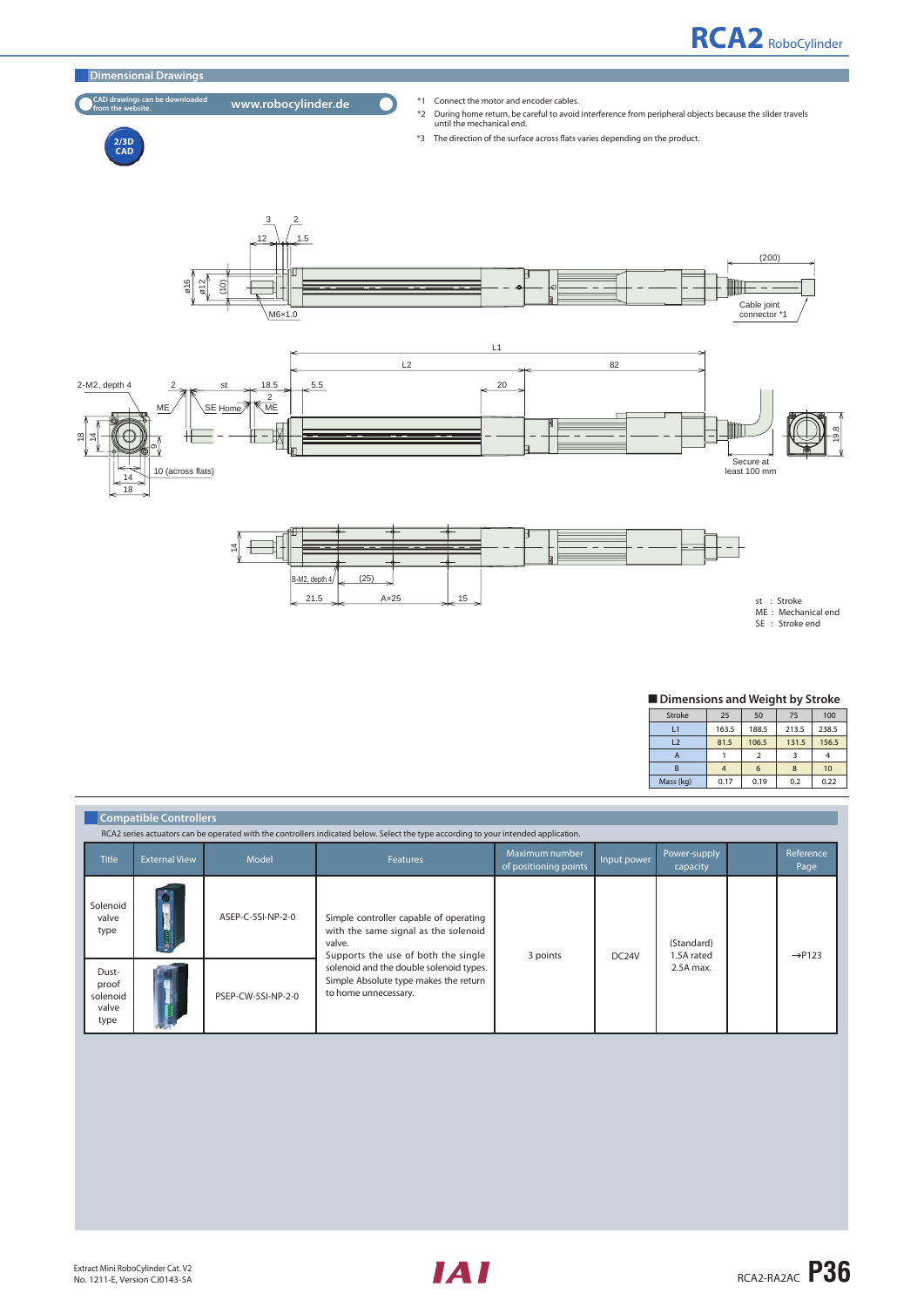

#### **CAD drawings can be downloaded**

- 
- CAD drawings can be downloaded **www.robocylinder.de** <sup>\*1</sup> Connect the motor and encoder cables.<br><sup>\*2</sup> During home return, be careful to avoid interference from peripheral objects because the slider travels<br>until the mechani
	- \*3 The direction of the surface across flats varies depending on the product.





st : Stroke<br>ME : Mechanical end SE : Stroke end

## **Dimensions and Weight by Stroke**

| Stroke    | 25    | 50    | 75    | 100   |
|-----------|-------|-------|-------|-------|
| L1        | 163.5 | 188.5 | 213.5 | 238.5 |
| L2        | 81.5  | 106.5 | 131.5 | 156.5 |
| А         |       |       |       |       |
| B         | 4     | 6     | 8     | 10    |
| Mass (kg) | 0.17  | 0.19  | 0.2   | 0.22  |

|                                             | <b>Compatible Controllers</b><br>RCA2 series actuators can be operated with the controllers indicated below. Select the type according to your intended application. |                    |                                                                                                                                 |                                         |             |                          |  |                          |  |
|---------------------------------------------|----------------------------------------------------------------------------------------------------------------------------------------------------------------------|--------------------|---------------------------------------------------------------------------------------------------------------------------------|-----------------------------------------|-------------|--------------------------|--|--------------------------|--|
| <b>Title</b>                                | <b>External View</b>                                                                                                                                                 | Model              | <b>Features</b>                                                                                                                 | Maximum number<br>of positioning points | Input power | Power-supply<br>capacity |  | <b>Reference</b><br>Page |  |
| Solenoid<br>valve<br>type                   |                                                                                                                                                                      | ASEP-C-5SI-NP-2-0  | Simple controller capable of operating<br>with the same signal as the solenoid<br>valve.<br>Supports the use of both the single | 3 points                                | DC24V       | (Standard)<br>1.5A rated |  | $\rightarrow$ P123       |  |
| Dust-<br>proof<br>solenoid<br>valve<br>type |                                                                                                                                                                      | PSEP-CW-5SI-NP-2-0 | solenoid and the double solenoid types.<br>Simple Absolute type makes the return<br>to home unnecessary.                        |                                         |             | 2.5A max.                |  |                          |  |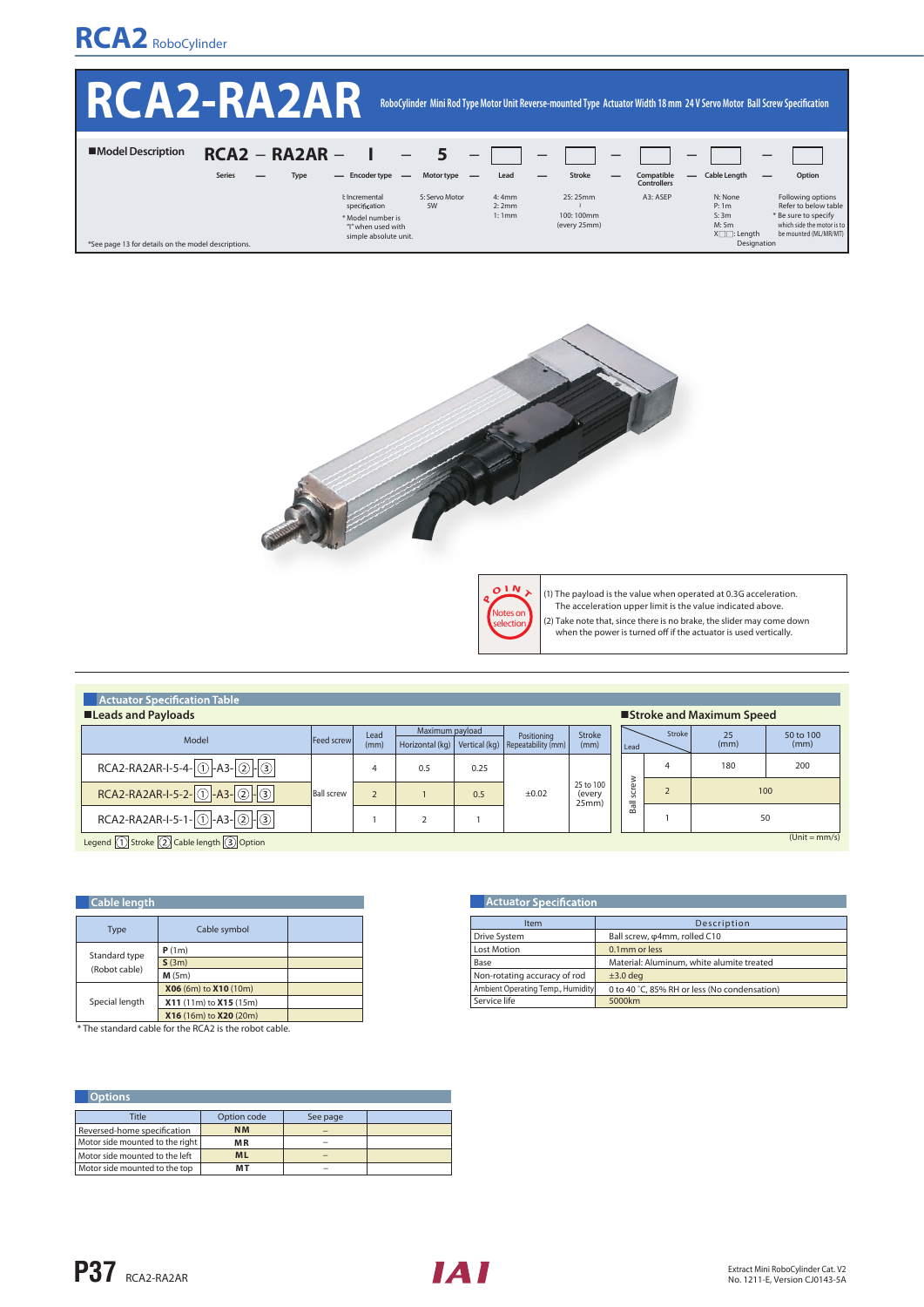# **RCA2** RoboCylinder

|                                                     | <b>IRCAZERAZAR</b>                        |                                                                                                                             |                         | RoboCylinder Mini Rod Type Motor Unit Reverse-mounted Type Actuator Width 18 mm 24 V Servo Motor Ball Screw Specification |                                  |                                                                                 |                                                                                                                          |
|-----------------------------------------------------|-------------------------------------------|-----------------------------------------------------------------------------------------------------------------------------|-------------------------|---------------------------------------------------------------------------------------------------------------------------|----------------------------------|---------------------------------------------------------------------------------|--------------------------------------------------------------------------------------------------------------------------|
| ■Model Description                                  | $RCA2 - RA2AR -$<br><b>Series</b><br>Type | $\overline{\phantom{m}}$<br>Motor type<br>- Encoder type -                                                                  | Lead                    | Stroke                                                                                                                    | Compatible<br><b>Controllers</b> | —<br><b>Cable Length</b><br>—                                                   | Option                                                                                                                   |
| *See page 13 for details on the model descriptions. |                                           | I: Incremental<br>5: Servo Motor<br>specification<br>5W<br>* Model number is<br>"I" when used with<br>simple absolute unit. | 4:4mm<br>2:2mm<br>1:1mm | 25:25mm<br>100:100mm<br>(every 25mm)                                                                                      | A3: ASEP                         | N: None<br>P: 1m<br>S:3m<br>M: 5m<br>$X\square \square$ : Length<br>Designation | Following options<br>Refer to below table<br>* Be sure to specify<br>which side the motor is to<br>be mounted (ML/MR/MT) |





(1) The payload is the value when operated at 0.3G acceleration. The acceleration upper limit is the value indicated above.

- 
- (2) Take note that, since there is no brake, the slider may come down<br>when the power is turned off if the actuator is used vertically.
- 

| <b>Actuator Specification Table</b><br><b>ELeads and Payloads</b><br>■Stroke and Maximum Speed |                   |              |                 |      |                                                                     |                              |       |        |            |                   |
|------------------------------------------------------------------------------------------------|-------------------|--------------|-----------------|------|---------------------------------------------------------------------|------------------------------|-------|--------|------------|-------------------|
| Model                                                                                          | Feed screwl       | Lead<br>(mm) | Maximum payload |      | Positioning<br>Horizontal (kg)   Vertical (kg)   Repeatability (mm) | Stroke<br>(mm)               | Lead  | Stroke | 25<br>(mm) | 50 to 100<br>(mm) |
| $RCA2-RA2AR-I-5-4-0$ -A3- $\boxed{2}$ - $\boxed{3}$                                            |                   |              | 0.5             | 0.25 |                                                                     |                              |       | 4      | 180        | 200               |
| RCA2-RA2AR-I-5-2-0-A3-0-3                                                                      | <b>Ball screw</b> |              |                 | 0.5  | $\pm 0.02$                                                          | 25 to 100<br>(every<br>25mm) | screw |        |            | 100               |
| $RCA2-RA2AR-I-5-1-0$ -A3-2-3                                                                   |                   |              |                 |      |                                                                     |                              | Ball  |        | 50         |                   |
| <b>CONTRACTOR</b>                                                                              |                   |              |                 |      |                                                                     |                              |       |        |            | $(Unit = mm/s)$   |

Legend  $\Box$  Stroke  $\Box$  Cable length  $\Box$  Option

| <b>Cable length</b> |                        |  |  |  |  |  |  |
|---------------------|------------------------|--|--|--|--|--|--|
| <b>Type</b>         | Cable symbol           |  |  |  |  |  |  |
| Standard type       | P(1m)                  |  |  |  |  |  |  |
|                     | S(3m)                  |  |  |  |  |  |  |
| (Robot cable)       | M(5m)                  |  |  |  |  |  |  |
|                     | X06 (6m) to X10 (10m)  |  |  |  |  |  |  |
| Special length      | X11 (11m) to X15 (15m) |  |  |  |  |  |  |
|                     | X16 (16m) to X20 (20m) |  |  |  |  |  |  |

\* The standard cable for the RCA2 is the robot cable.

| <b>Actuator Specification</b>     |                                              |  |  |  |
|-----------------------------------|----------------------------------------------|--|--|--|
| Item                              | Description                                  |  |  |  |
| Drive System                      | Ball screw, $\varphi$ 4mm, rolled C10        |  |  |  |
| <b>Lost Motion</b>                | 0.1mm or less                                |  |  |  |
| Base                              | Material: Aluminum, white alumite treated    |  |  |  |
| Non-rotating accuracy of rod      | $±3.0$ deg                                   |  |  |  |
| Ambient Operating Temp., Humidity | 0 to 40 °C, 85% RH or less (No condensation) |  |  |  |
| Service life                      | 5000km                                       |  |  |  |

| <b>Options</b>                  |             |          |  |  |  |
|---------------------------------|-------------|----------|--|--|--|
| <b>Title</b>                    | Option code | See page |  |  |  |
| Reversed-home specification     | <b>NM</b>   |          |  |  |  |
| Motor side mounted to the right | <b>MR</b>   |          |  |  |  |
| Motor side mounted to the left  | <b>ML</b>   |          |  |  |  |
| Motor side mounted to the top   | мт          |          |  |  |  |